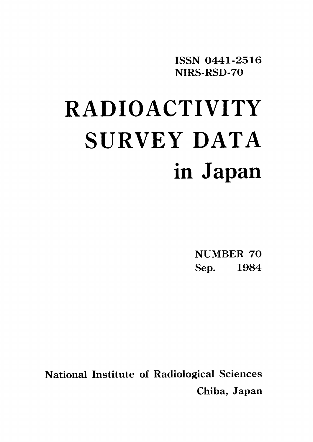ISSN 0441-2516 NIRS-RSD-70

# **RADIOACTIVITY** SURVEY DATA in Japan

**NUMBER 70** Sep.1984

**National Institute of Radiological Sciences** Chiba, Japan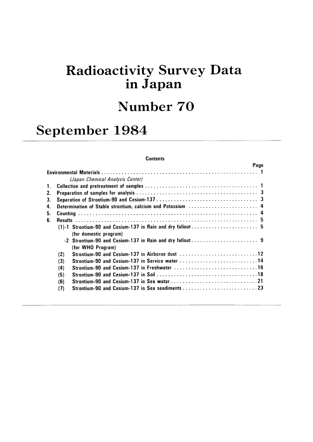## Radioactivity Survey Data inJapan

## Number 70

# September 1984

#### **Contents**

| Page                                                           |
|----------------------------------------------------------------|
|                                                                |
| (Japan Chemical Analysis Center)                               |
|                                                                |
|                                                                |
|                                                                |
| 4. Determination of Stable strontium, calcium and Potassium  4 |
|                                                                |
|                                                                |
|                                                                |
| (for domestic program)                                         |
|                                                                |
| (for WHO Program)                                              |
| (2)                                                            |
| Strontium-90 and Cesium-137 in Service water 14<br>(3)         |
| (4)                                                            |
| (5)                                                            |
| (6)                                                            |
| (7)                                                            |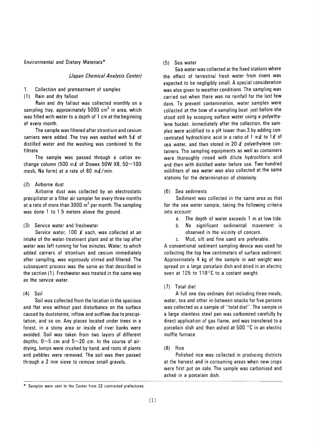Environmental and Dietary Materials\*

#### (Japan Chemical Analysis Center)

- Collection and pretreatment of samples  $1_{\cdot}$
- (1) Rain and dry fallout

Rain and dry fallout was collected monthly on a sampling tray, approximately 5000 cm<sup>2</sup> in area, which was filled with water to a depth of 1 cm at the beginning of every month.

The sample was filtered after strontium and cesium carriers were added. The tray was washed with  $5\ell$  of distilled water and the washing was combined to the filtrate.

The sample was passed through a cation exchange column (500 m $\ell$  of Dowex 50W X8, 50~100 mesh, Na form) at a rate of 80 m $\ell$ /min.

#### (2) Airborne dust

Airborne dust was collected by an electrostatic precipitator or a filter air sampler for every three months at a rate of more than  $3000 \text{ m}^3$  per month. The sampling was done 1 to 1.5 meters above the ground.

#### (3) Service water and freshwater

Service water, 100  $\ell$  each, was collected at an intake of the water-treatment plant and at the tap after water was left running for five minutes. Water, to which added carriers of strontium and cesium immediately after sampling, was vigorously stirred and filtered. The subsequent process was the same as that described in the section (1). Freshwater was treated in the same way as the service water.

#### Soil  $(4)$

Soil was collected from the location in the spacious and flat area without past disturbance on the surface caused by duststorms, inflow and outflow due to precipitation, and so on. Any places located under trees in a forest, in a stony area or inside of river banks were avoided. Soil was taken from two layers of different depths,  $0 \sim 5$  cm and  $5 \sim 20$  cm. In the course of airdrying, lumps were crushed by hand, and roots of plants and pebbles were removed. The soil was then passed through a 2 mm sieve to remove small gravels.

#### (5) Sea water

Sea water was collected at the fixed stations where the effect of terrestrial fresh water from rivers was expected to be negligibly small. A special consideration was also given to weather conditions. The sampling was carried out when there was no rainfall for the last few davs. To prevent contamination, water samples were collected at the bow of a sampling boat just before she stood still by scooping surface water using a polyethylene bucket. Immediately after the collection, the samples were acidified to a pH lower than 3 by adding concentrated hydrochloric acid in a ratio of 1 m $\ell$  to 1 $\ell$  of sea water, and then stored in  $20-\ell$  polyethylene containers. The sampling equipments as well as containers were thoroughly rinsed with dilute hydrochloric acid and then with distilled water before use. Two hundred milliliters of sea water was also collected at the same stations for the determination of chlorinity.

#### (6) Sea sediments

Sediment was collected in the same area as that for the sea water sample, taking the following criteria into account:

- $a<sub>z</sub>$ The depth of water exceeds 1 m at low tide.
- No significant sedimental movement is b. observed in the vicinity of concern.
- Mud, silt and fine sand are preferable.  $\mathbf{c}$ .

A conventional sediment sampling device was used for collecting the top few centimeters of surface sediment. Approximately 4 kg of the sample in wet weight was spread on a large porcelain dish and dried in an electric oven at 105 to 110°C to a costant weight.

#### (7) Total diet

A full one day ordinary diet including three meals, water, tea and other in-between snacks for five persons was collected as a sample of "total diet". The sample in a large stainless steel pan was carbonized carefully by direct application of gas flame, and was transfered to a porcelain dish and then ashed at 500 °C in an electric muffle furnace.

#### $(8)$  Rice

Polished rice was collected in producing districts at the harvest and in consuming areas when new crops were first put on sale. The sample was carbonized and ashed in a porcelain dish.

<sup>\*</sup> Samples were sent to the Center from 32 contracted prefectures.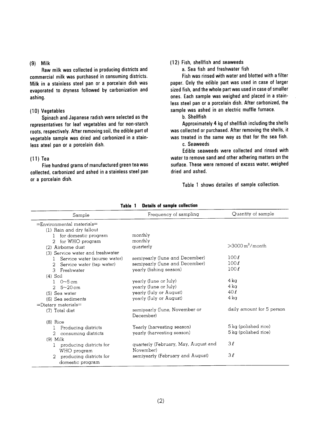#### $(9)$  Milk

Raw milk was collected in producing districts and commercial milk was purchased in consuming districts. Milk in a stainless steel pan or a porcelain dish was evaporated to dryness followed by carbonization and ashing.

#### (10) Vegetables

Spinach and Japanese radish were selected as the representatives for leaf vegetables and for non-starch roots, respectively. After removing soil, the edible part of vegetable sample was dried and carbonized in a stainless ateel pan or a porcelain dish.

#### $(11)$  Tea

Five hundred grams of manufactured green tea was collected, carbonized and ashed in a stainless steel pan or a porcelain dish.

#### (12) Fish, shellfish and seaweeds

a. Sea fish and freshwater fish

Fish was rinsed with water and blotted with a filter paper. Only the edible part was used in case of larger sized fish, and the whole part was used in case of smaller ones. Each sample was weighed and placed in a stainless steel pan or a porcelain dish. After carbonized, the sample was ashed in an electric muffle furnace.

b. Shellfish

Approximately 4 kg of shellfish including the shells was collected or purchased. After removing the shells, it was treated in the same way as that for the sea fish. c. Seaweeds

Edible seaweeds were collected and rinsed with water to remove sand and other adhering matters on the surface. These were removed of excess water, weighed dried and ashed.

Table 1 shows detailes of sample collection.

| Sample                           | Frequency of sampling                | Quantity of sample             |
|----------------------------------|--------------------------------------|--------------------------------|
| $=$ Environmental materials $=$  |                                      |                                |
| (1) Rain and dry fallout         |                                      |                                |
| for domestic program             | monthly                              |                                |
| for WHO program<br>2             | monthly                              |                                |
| (2) Airborne dust                | quarterly                            | $>$ 3000 m <sup>3</sup> /month |
| (3) Service water and freshwater |                                      |                                |
| Service water (sourse water)     | semiyearly (June and December)       | 100l                           |
| Service water (tap water)<br>2   | semiyearly (June and December)       | $100\ell$                      |
| Freshwater<br>3                  | yearly (fishing season)              | 100l                           |
| $(4)$ Soil                       |                                      |                                |
| $1 \t 0 \sim 5 \text{ cm}$       | yearly (June or July)                | 4 ka                           |
| $5 - 20$ cm<br>$\mathfrak{D}$    | yearly (June or July)                | $4 \text{ kg}$                 |
| (5) Sea water                    | yearly (July or August)              | 40l                            |
| (6) Sea sediments                | yearly (July or August)              | 4 ka                           |
| $=$ Dietary materials $=$        |                                      |                                |
| (7) Total diet                   | semiyearly (June, November or        | daily amount for 5 person      |
|                                  | December)                            |                                |
| $(8)$ Rice                       |                                      |                                |
| Producing districts<br>-1        | Yearly (harvesting season)           | 5 kg (polished rice)           |
| 2<br>consuming districts         | yearly (harvesting season)           | 5 kg (polished rice)           |
| $(9)$ Milk                       |                                      |                                |
| producing districts for<br>1     | quarterly (February, May, August and | 3l                             |
| WHO program                      | November)                            |                                |
| producing districts for          | semiyearly (February and August)     | 3l                             |
| domestic program                 |                                      |                                |

Table 1 Details of sample collection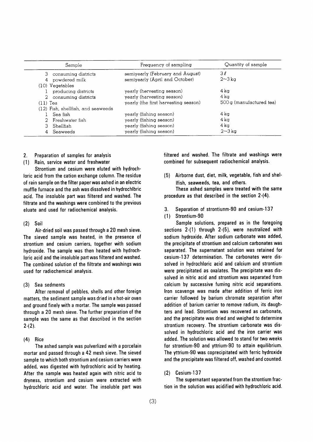|            | Sample                             | Frequency of sampling                | Quantity of sample       |
|------------|------------------------------------|--------------------------------------|--------------------------|
|            | 3 consuming districts              | semiyearly (February and August)     | $3\ell$                  |
| 4          | powdered milk                      | semiyearly (April and October)       | $2\sim3\,\mathrm{kg}$    |
|            | $(10)$ Vegetables                  |                                      |                          |
|            | producing districts                | yearly (hervesting season)           | 4 ka                     |
|            | 2 consuming districts              | yearly (harvesting season)           | 4 ka                     |
| $(11)$ Tea |                                    | yearly (the first harvesting season) | 500 g (manufactured tea) |
|            | (12) Fish, shellfish, and seaweeds |                                      |                          |
|            | Sea fish                           | yearly (fishing season)              | 4 ka                     |
|            | 2 Freshwater fish                  | yearly (fishing season)              | $4\,\mathrm{k}\alpha$    |
|            | 3 Shellfish                        | yearly (fishing season)              | 4 ka                     |
|            | Seaweeds                           | yearly (fishing season)              | $2\sim3$ ka              |

 $2.$ Preparation of samples for analysis

Rain, service water and freshwater  $(1)$ 

Strontium and cesium were eluted with hydrochloric acid from the cation exchange column. The residue of rain sample on the filter paper was ashed in an electric muffle furnace and the ash was dissolved in hydrochlbric acid. The insoluble part was filtered and washed. The filtrate and the washings were combined to the previous eluate and used for radiochemical analysis.

 $(2)$ Soil

Air-dried soil was passed through a 20 mesh sieve. The sieved sample was heated, in the presence of strontium and cesium carriers, together with sodium hydroxide. The sample was then heated with hydrochloric acid and the insoluble part was filtered and washed. The combined solution of the filtrate and washings was used for radiochemical analysis.

(3) Sea sedments

After removal of pebbles, shells and other foreign matters, the sediment sample was dried in a hot-air oven and ground finely with a mortar. The sample was passed through a 20 mesh sieve. The further preparation of the sample was the same as that described in the section  $2-(2)$ .

#### $(4)$ Rice

The ashed sample was pulverlized with a porcelain mortar and passed through a 42 mesh sieve. The sieved sample to which both strontium and cesium carriers were added, was digested with hydrochloric acid by heating. After the sample was heated again with nitric acid to dryness, strontium and cesium were extracted with hydrochloric acid and water. The insoluble part was

filtered and washed. The filtrate and washings were combined for subsequent radiochemical analysis.

(5) Airborne dust, diet, milk, vegetable, fish and shel-Ifish, seaweeds, tea, and others.

These ashed samples were treated with the same procedure as that described in the section 2-(4).

- $3.$ Separation of strontiunm-90 and cesium-137
- (1) Strontium-90

Sample solutions, prepared as in the foregoing sections 2-(1) through 2-(5), were neutralized with sodium hydroxide. After sodium carbonate was added, the precipitate of strontium and calcium carbonates was separated. The supernatant solution was retained for cesium-137 determination. The carbonates were dissolved in hydrochloric acid and calcium and strontium were precipitated as oxalates. The precipitate was dissolved in nitric acid and strontium was separated from calcium by successive fuming nitric acid separations. Iron scavenge was made after addition of ferric iron carrier followed by barium chromate separation after addition of barium carrier to remove radium, its daughters and lead. Strontium was recovered as carbonate, and the precipitate was dried and weighed to determine strontium recovery. The strontium carbonate was dissolved in hydrochloric acid and the iron carrier was added. The solution was allowed to stand for two weeks for strontium-90 and yttrium-90 to attain equilibrium. The yttrium-90 was coprecipitated with ferric hydroxide and the precipitate was filtered off, washed and counted.

#### $(2)$  Cesium-137

The supernatant separated from the strontium fraction in the solution was acidified with hydrochloric acid.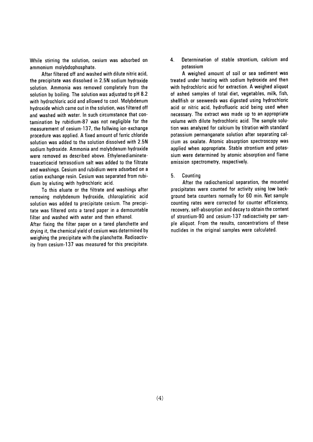While stirring the solution, cesium was adsorbed on ammonium molybdophosphate.

After filtered off and washed with dilute nitric acid, the precipitate was dissolved in 2.5N sodium hydroxide solution. Ammonia was removed completely from the solution by boiling. The solution was adjusted to pH 8.2 with hydrochloric acid and allowed to cool. Molybdenum hydroxide which came out in the solution, was filtered off and washed with water. In such circumstance that contamination by rubidium-87 was not negligible for the measurement of cesium-137, the follwing ion-exchange procedure was applied. A fixed amount of ferric chloride solution was added to the solution dissolved with 2.5N sodium hydroxide. Ammonia and molybdenum hydroxide were removed as described above. Ethylenediaminetetraaceticacid tetrasodium salt was added to the filtrate and washings. Cesium and rubidium were adsorbed on a cation exchange resin. Cesium was separated from rubidium by eluting with hydrochloric acid.

To this eluate or the filtrate and washings after removing molybdenum hydroxide, chloroplatinic acid solution was added to precipitate cesium. The precipitate was filtered onto a tared paper in a demountable filter and washed with water and then ethanol.

After fixing the filter paper on a tared planchette and drying it, the chemical yield of cesium was determined by weighing the precipitate with the planchette. Radioactivity from cesium-137 was measured for this precipitate. 4. Determination of stable strontium, calcium and potassium

A weighed amount of soil or sea sediment was treated under heating with sodium hydroxide and then with hydrochloric acid for extraction. A weighed aliquot of ashed samples of total diet, vegetables, milk, fish, shellfish or seeweeds was digested using hydrochloric acid or nitric acid, hydrofluoric acid being used when necessary. The extract was made up to an appropriate volume with dilute hydrochloric acid. The sample solution was analyzed for calcium by titration with standard potassium permanganate solution after separating calcium as oxalate. Atomic absorption spectroscopy was applied when appropriate. Stable strontium and potassium were determined by atomic absorption and flame emission spectrometry, respectively.

Counting 5.

After the radiochemical separation, the mounted precipitates were counted for activity using low background beta counters normally for 60 min. Net sample counting rates were corrected for counter efficeiency, recovery, self-absorption and decay to obtain the content of strontium-90 and cesium-137 radioactivity per sample aliquot. From the results, concentrations of these nuclides in the original samples were calculated.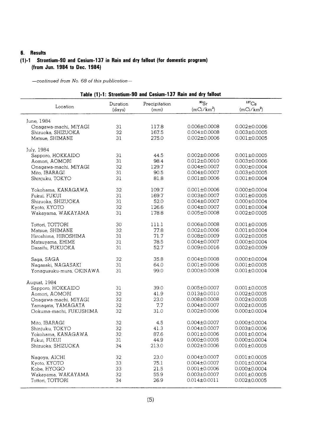#### 6. Results

#### (1)-1 Strontium-90 and Cesium-137 in Rain and dry fallout (for domestic program) (from Jun. 1984 to Dec. 1984)

| Table (1)-1: Strontium-90 and Cesium-137 Rain and dry fallout |  |  |  |  |
|---------------------------------------------------------------|--|--|--|--|
|                                                               |  |  |  |  |

| Location                 | Duration | Precipitation | $^{90}Sr$          | $^{137}\mathrm{Cs}$ |
|--------------------------|----------|---------------|--------------------|---------------------|
|                          | (days)   | (mm)          | $(mCi/km^2)$       | $(mCi/km^2)$        |
| June, 1984               |          |               |                    |                     |
| Onagawa-machi, MIYAGI    | 31       | 117.8         | $0.006 \pm 0.0008$ | $0.002 \pm 0.0006$  |
| Shizuoka, SHIZUOKA       | 32       | 167.5         | $0.004 \pm 0.0008$ | $0.003 \pm 0.0005$  |
| Matsue, SHIMANE          | 31       | 275.0         | $0.002 \pm 0.0006$ | $0.001 \pm 0.0005$  |
|                          |          |               |                    |                     |
| July, 1984               |          |               |                    |                     |
| Sapporo, HOKKAIDO        | 31       | 44.5          | $0.002 \pm 0.0006$ | $0.001 \pm 0.0005$  |
| Aomori, AOMORI           | 31       | 98.4          | $0.012 \pm 0.0010$ | $0.003 \pm 0.0006$  |
| Onagawa-machi, MIYAGI    | 32       | 129.7         | $0.004 \pm 0.0007$ | $0.000 \pm 0.0004$  |
| Mito, IBARAGI            | 31       | 90.5          | $0.004 \pm 0.0007$ | $0.003 \pm 0.0005$  |
| Shinjuku, TOKYO          | 31       | 81.8          | $0.001 \pm 0.0006$ | $0.001 \pm 0.0004$  |
| Yokohama, KANAGAWA       | 32       | 109.7         | $0.001 \pm 0.0006$ | $0.000 \pm 0.0004$  |
| Fukui, FUKUI             | 31       | 169.7         | $0.003 \pm 0.0007$ | $0.001 \pm 0.0005$  |
| Shizuoka, SHIZUOKA       | 31       | 52.0          | $0.004 \pm 0.0007$ | $0.000 \pm 0.0004$  |
| Kyoto, KYOTO             | 32       | 126.6         | $0.004 \pm 0.0007$ | $0.001 \pm 0.0004$  |
| Wakayama, WAKAYAMA       | 31       | 178.8         | $0.005 \pm 0.0008$ | $0.002 \pm 0.0005$  |
|                          |          |               |                    |                     |
| Tottori, TOTTORI         | 30       | 111.1         | 0.006±0.0008       | $0.001 \pm 0.0005$  |
| Matsue, SHIMANE          | 32       | 77.8          | $0.002 \pm 0.0006$ | $0.001 \pm 0.0004$  |
| Hiroshima, HIROSHIMA     | 31       | 71.7          | $0.008 \pm 0.0009$ | $0.002 \pm 0.0005$  |
| Matsuyama, EHIME         | 31       | 78.5          | $0.004 \pm 0.0007$ | $0.000 \pm 0.0004$  |
| Dazaifu, FUKUOKA         | 31       | 52.7          | $0.009 \pm 0.0016$ | $0.002 \pm 0.0009$  |
| Saga, SAGA               | 32       | 35.8          | $0.004 \pm 0.0008$ | $0.000 \pm 0.0004$  |
| Nagasaki, NAGASAKI       | 31       | 64.0          | $0.001 \pm 0.0006$ | $0.001 \pm 0.0005$  |
| Yonagusuku-mura, OKINAWA | 31       | 99.0          | $0.000 \pm 0.0008$ | $0.001 \pm 0.0004$  |
|                          |          |               |                    |                     |
| August, 1984             | 31       | 39.0          | $0.005 \pm 0.0007$ | $0.001 \pm 0.0005$  |
| Sapporo, HOKKAIDO        | 32       | 41.9          | $0.013 \pm 0.0010$ | $0.002 \pm 0.0005$  |
| Aomori, AOMORI           | 32       | 23.0          | $0.008 \pm 0.0008$ | $0.002 \pm 0.0005$  |
| Onagawa-machi, MIYAGI    |          | 7.7           | $0.004 \pm 0.0007$ | $0.002 \pm 0.0005$  |
| Yamagata, YAMAGATA       | 32<br>32 |               |                    |                     |
| Ookuma-machi, FUKUSHIMA  |          | 31.0          | $0.002 \pm 0.0006$ | $0.000 \pm 0.0004$  |
| Mito, IBARAGI            | 32       | 4.5           | $0.004 \pm 0.0007$ | $0.000 \pm 0.0004$  |
| Shinjuku, TOKYO          | 32       | 41.3          | $0.004 \pm 0.0007$ | $0.003 \pm 0.0006$  |
| Yokohama, KANAGAWA       | 32       | 87.6          | $0.001 \pm 0.0006$ | $0.001 \pm 0.0004$  |
| Fukui, FUKUI             | 31       | 44.9          | $0.000 \pm 0.0005$ | $0.000 \pm 0.0004$  |
| Shizuoka, SHIZUOKA       | 34       | 213.0         | $0.002 \pm 0.0006$ | $0.001 \pm 0.0005$  |
| Nagoya, AICHI            | 32       | 23.0          | $0.004 \pm 0.0007$ | $0.001 \pm 0.0005$  |
| Kyoto, KYOTO             | 33       | 75.1          | $0.004 \pm 0.0007$ | $0.001 \pm 0.0004$  |
| Kobe, HYOGO              | 33       | 21.5          | $0.001 \pm 0.0006$ | $0.000 \pm 0.0004$  |
| Wakayama, WAKAYAMA       | 32       | 55.9          | $0.003 \pm 0.0007$ | $0.001 \pm 0.0005$  |
| Tottori, TOTTORI         | 34       | 26.9          | $0.014 \pm 0.0011$ | $0.002 \pm 0.0005$  |
|                          |          |               |                    |                     |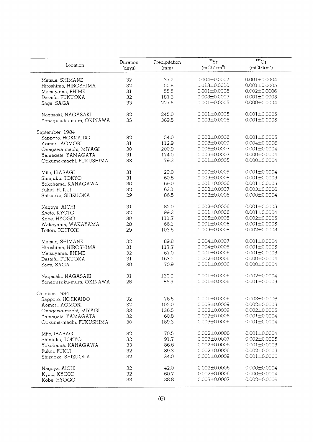|                          | Duration | Precipitation | $^{90}Sr$          | 137C <sub>S</sub>  |
|--------------------------|----------|---------------|--------------------|--------------------|
| Location                 | (days)   | (mm)          | $(mCi/km^2)$       | $(mCi/km^2)$       |
|                          |          |               |                    |                    |
| Matsue, SHIMANE          | 32       | 37.2          | $0.004 \pm 0.0007$ | $0.001 \pm 0.0004$ |
| Hiroshima, HIROSHIMA     | 32       | 50.8          | $0.013 \pm 0.0010$ | $0.001 \pm 0.0005$ |
| Matsuyama, EHIME         | 31       | 55.5          | $0.001 \pm 0.0006$ | $0.002 \pm 0.0006$ |
| Dazaifu, FUKUOKA         | 32       | 187.3         | $0.003 \pm 0.0007$ | $0.001 \pm 0.0005$ |
|                          | 33       | 227.5         | $0.001 \pm 0.0005$ | $0.000 \pm 0.0004$ |
| Saga, SAGA               |          |               |                    |                    |
| Nagasaki, NAGASAKI       | 32       | 245.0         | $0.001 \pm 0.0005$ | $0.001 \pm 0.0005$ |
| Yonagusuku-mura, OKINAWA | 35       | 369.5         | $0.003 \pm 0.0006$ | $0.001 \pm 0.0005$ |
|                          |          |               |                    |                    |
| September, 1984          |          |               |                    |                    |
| Sapporo, HOKKAIDO        | 32       | 54.0          | $0.002 \pm 0.0006$ | $0.001 \pm 0.0005$ |
| Aomori, AOMORI           | 31       | 112.9         | $0.008 \pm 0.0009$ | $0.004 \pm 0.0006$ |
| Onagawa-machi, MIYAGI    | 30       | 200.9         | $0.006 \pm 0.0007$ | $0.001 \pm 0.0004$ |
| Yamagata, YAMAGATA       | 31       | 174.0         | $0.005 \pm 0.0007$ | $0.000 \pm 0.0004$ |
| Ookuma-machi, FUKUSHIMA  | 33       | 79.3          | $0.001 \pm 0.0005$ | $0.000 \pm 0.0004$ |
| Mito, IBARAGI            | 31       | 29.0          | $0.000 \pm 0.0005$ | $0.001 \pm 0.0004$ |
| Shinjuku, TOKYO          | 31       | 60.8          | $0.005 \pm 0.0008$ | $0.001 \pm 0.0005$ |
|                          | 30       | 69.0          | $0.001 + 0.0006$   | $0.001 + 0.0005$   |
| Yokohama, KANAGAWA       |          |               |                    |                    |
| Fukui, FUKUI             | 32       | 63.1          | $0.002 \pm 0.0007$ | $0.003 \pm 0.0006$ |
| Shizuoka, SHIZUOKA       | 29       | 86.5          | $0.002 \pm 0.0006$ | $0.000 \pm 0.0004$ |
| Nagoya, AICHI            | 31       | 82.0          | $0.002 \pm 0.0006$ | $0.001 \pm 0.0005$ |
| Kyoto, KYOTO             | 32       | 99.2          | $0.001 \pm 0.0006$ | $0.001 \pm 0.0004$ |
| Kobe, HYOGO              | 30       | 111.7         | $0.005 \pm 0.0008$ | $0.002 \pm 0.0005$ |
| Wakayama, WAKAYAMA       | 28       | 66.1          | $0.001 \pm 0.0006$ | $0.001 \pm 0.0005$ |
|                          |          | 103.5         | $0.005 \pm 0.0008$ | $0.002 \pm 0.0005$ |
| Tottori, TOTTORI         | 29       |               |                    |                    |
| Matsue, SHIMANE          | 32       | 89.8          | $0.004 \pm 0.0007$ | $0.001 \pm 0.0004$ |
| Hiroshima, HIROSHIMA     | 31       | 117.7         | $0.004 \pm 0.0008$ | $0.001 \pm 0.0005$ |
| Matsuyama, EHIME         | 32       | 67.0          | $0.001 \pm 0.0006$ | $0.001 \pm 0.0005$ |
| Dazaifu, FUKUOKA         | 31       | 163.2         | $0.002 \pm 0.0006$ | $0.000 \pm 0.0004$ |
| Saga, SAGA               | 30       | 70.9          | $0.001 \pm 0.0006$ | $0.000 \pm 0.0004$ |
|                          |          |               |                    |                    |
| Nagasaki, NAGASAKI       | 31       | 130.0         | $0.001 \pm 0.0006$ | $0.002 \pm 0.0004$ |
| Yonagusuku-mura, OKINAWA | 28       | 86.5          | $0.001 \pm 0.0006$ | $0.001 \pm 0.0005$ |
|                          |          |               |                    |                    |
| October, 1984            |          |               |                    |                    |
| Sapporo, HOKKAIDO        | 32       | 76.5          | $0.001 \pm 0.0006$ | $0.003 \pm 0.0006$ |
| Aomori, AOMORI           | 32       | 102.0         | $0.008 \pm 0.0009$ | $0.002 \pm 0.0005$ |
| Onagawa-machi, MIYAGI    | 33       | 136.5         | $0.008 \pm 0.0009$ | $0.002 \pm 0.0005$ |
| Yamagata, YAMAGATA       | 32       | 60.8          | $0.002 \pm 0.0006$ | $0.001 \pm 0.0004$ |
| Ookuma-machi, FUKUSHIMA  | 30       | 189.3         | $0.003 \pm 0.0006$ | $0.001 \pm 0.0004$ |
|                          | 32       | 70.5          | $0.002 \pm 0.0006$ | $0.001 \pm 0.0004$ |
| Mito, IBARAGI            | 32       | 91.7          | $0.003 \pm 0.0007$ | $0.002 \pm 0.0005$ |
| Shinjuku, TOKYO          |          |               |                    |                    |
| Yokohama, KANAGAWA       | 33       | 86.6          | $0.002 \pm 0.0006$ | $0.001 \pm 0.0005$ |
| Fukui, FUKUI             | 32       | 89.3          | $0.002 \pm 0.0006$ | $0.002 \pm 0.0005$ |
| Shizuoka, SHIZUOKA       | 32       | 34.0          | $0.001 \pm 0.0009$ | $0.001 \pm 0.0006$ |
| Nagoya, AICHI            | 32       | 42.0          | $0.002 \pm 0.0006$ | $0.000 \pm 0.0004$ |
| Kyoto, KYOTO             | 32       | 60.7          | $0.002 \pm 0.0006$ | $0.000 \pm 0.0004$ |
| Kobe, HYOGO              | 33       | 38.8          | $0.003 \pm 0.0007$ | $0.002 \pm 0.0006$ |
|                          |          |               |                    |                    |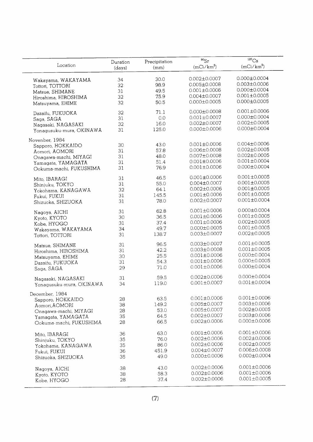|                                     |          |               | $^{90}Sr$          | 137C <sub>S</sub>  |
|-------------------------------------|----------|---------------|--------------------|--------------------|
| Location                            | Duration | Precipitation | $(mCi/km^2)$       | $(mCi/km^2)$       |
|                                     | (days)   | (mm)          |                    |                    |
|                                     | 34       | 30.0          | $0.002 \pm 0.0007$ | $0.000 \pm 0.0004$ |
| Wakayama, WAKAYAMA                  | 32       | 98.9          | $0.005 \pm 0.0008$ | $0.003 \pm 0.0006$ |
| Tottori, TOTTORI                    | 31       | 49.5          | $0.001 + 0.0006$   | $0.000 \pm 0.0004$ |
| Matsue, SHIMANE                     | 32       | 75.9          | $0.004 \pm 0.0007$ | $0.001 \pm 0.0005$ |
| Hiroshima, HIROSHIMA                | 32       | 50.5          | $0.000 \pm 0.0005$ | $0.000 \pm 0.0005$ |
| Matsuyama, EHIME                    |          |               |                    |                    |
| Dazaifu, FUKUOKA                    | 32       | 71.1          | $0.000 \pm 0.0008$ | $0.001 \pm 0.0006$ |
| Saga, SAGA                          | 31       | 0.0           | $0.001 \pm 0.0007$ | $0.000 \pm 0.0004$ |
| Nagasaki, NAGASAKI                  | 32       | 16.0          | $0.002 \pm 0.0007$ | $0.002 \pm 0.0005$ |
| Yonagusuku-mura, OKINAWA            | 31       | 125.0         | $0.000 \pm 0.0006$ | $0.000 \pm 0.0004$ |
|                                     |          |               |                    |                    |
| Novenber, 1984                      | 30       | 43.0          | $0.001 \pm 0.0006$ | $0.004 \pm 0.0006$ |
| Sapporo, HOKKAIDO                   | 31       | 57.8          | $0.006 \pm 0.0008$ | $0.002 \pm 0.0005$ |
| Aomori, AOMORI                      | 31       | 48.0          | $0.007 \pm 0.0008$ | $0.002 \pm 0.0005$ |
| Onagawa-machi, MIYAGI               | 31       | 51.4          | $0.001 \pm 0.0006$ | $0.001 \pm 0.0004$ |
| Yamagata, YAMAGATA                  | 31       | 76.9          | $0.001 \pm 0.0006$ | $0.000 \pm 0.0004$ |
| Ookuma-machi, FUKUSHIMA             |          |               |                    |                    |
| Mito, IBARAGI                       | 31       | 46.5          | $0.001 \pm 0.0006$ | $0.001 \pm 0.0005$ |
| Shinjuku, TOKYO                     | 31       | 55.0          | $0.004 \pm 0.0007$ | $0.001 \pm 0.0005$ |
| Yokohama, KANAGAWA                  | 32       | 64.1          | $0.002 \pm 0.0006$ | $0.001 \pm 0.0005$ |
| Fukui, FUKUI                        | 31       | 145.5         | $0.001 \pm 0.0006$ | $0.001 \pm 0.0005$ |
| Shizuoka, SHIZUOKA                  | 31       | 78.0          | $0.002 \pm 0.0007$ | $0.001 \pm 0.0004$ |
|                                     |          |               |                    |                    |
| Nagoya, AICHI                       | 31       | 62.8          | $0.001 \pm 0.0006$ | $0.000 \pm 0.0004$ |
| Kyoto, KYOTO                        | 30       | 36.5          | $0.001 \pm 0.0006$ | $0.001 \pm 0.0005$ |
| Kobe, HYOGO                         | 31       | 37.4          | $0.001 \pm 0.0006$ | $0.002 \pm 0.0005$ |
| Wakayama, WAKAYAMA                  | 34       | 49.7          | $0.000 \pm 0.0005$ | $0.001 \pm 0.0005$ |
| Tottori, TOTTORI                    | 31       | 138.7         | $0.003 \pm 0.0007$ | $0.002 \pm 0.0005$ |
| Matsue, SHIMANE                     | 31       | 96.5          | $0.003 \pm 0.0007$ | $0.001 \pm 0.0005$ |
| Hiroshima, HIROSHIMA                | 31       | 42.2          | $0.003 \pm 0.0008$ | $0.001 \pm 0.0005$ |
| Matsuyama, EHIME                    | 30       | 25.5          | $0.001 \pm 0.0006$ | $0.000 \pm 0.0004$ |
|                                     | 31       | 54.3          | $0.001 \pm 0.0006$ | $0.000 \pm 0.0005$ |
| Dazaifu, FUKUOKA<br>Saga, SAGA      | 29       | 71.0          | $0.001 \pm 0.0006$ | $0.000 \pm 0.0004$ |
|                                     |          |               |                    |                    |
| Nagasaki, NAGASAKI                  | 31       | 59.5          | $0.002 \pm 0.0006$ | $0.000 \pm 0.0004$ |
| Yonagusuku-mura, OKINAWA            | 34       | 119.0         | $0.001 \pm 0.0007$ | $0.001 \pm 0.0004$ |
|                                     |          |               |                    |                    |
| December, 1984<br>Sapporo, HOKKAIDO | 28       | 63.5          | $0.001 \pm 0.0006$ | $0.001 \pm 0.0006$ |
|                                     | 38       | 149.2         | $0.005 \pm 0.0007$ | $0.003 \pm 0.0006$ |
| Aomori, AOMORI                      | 28       | 53.0          | $0.005 \pm 0.0007$ | $0.002 \pm 0.0005$ |
| Onagawa-machi, MIYAGI               | 35       | 64.5          | $0.002 \pm 0.0007$ | $0.003 \pm 0.0006$ |
| Yamagata, YAMAGATA                  | 28       | 66.5          | $0.002 \pm 0.0006$ | $0.000 \pm 0.0006$ |
| Ookuma-machi, FUKUSHIMA             |          |               |                    |                    |
| Mito, IBARAGI                       | 36       | 63.0          | $0.001 \pm 0.0006$ | $0.001 \pm 0.0006$ |
| Shinjuku, TOKYO                     | 35       | 76.0          | $0.002 \pm 0.0006$ | $0.002 \pm 0.0006$ |
| Yokohama, KANAGAWA                  | 35       | 86.0          | $0.002 \pm 0.0006$ | $0.002 \pm 0.0005$ |
| Fukui, FUKUI                        | 36       | 451.9         | $0.004 \pm 0.0007$ | $0.006 \pm 0.0008$ |
| Shizuoka, SHIZUOKA                  | 35       | 49.0          | $0.000 \pm 0.0006$ | $0.000 \pm 0.0004$ |
|                                     |          |               |                    |                    |
| Nagoya, AICHI                       | 38       | 43.0          | $0.002 \pm 0.0006$ | $0.001 \pm 0.0006$ |
| Kyoto, KYOTO                        | 38       | 58.3          | $0.002 \pm 0.0006$ | $0.001 \pm 0.0006$ |
| Kobe, HYOGO                         | 28       | 37.4          | $0.002 \pm 0.0006$ | $0.001 \pm 0.0005$ |
|                                     |          |               |                    |                    |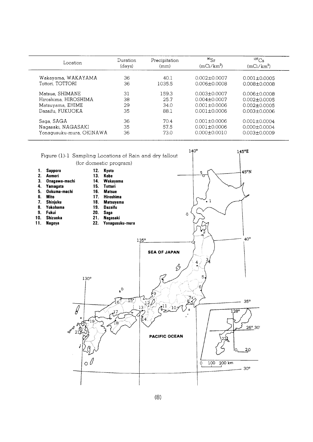| Location                 | Duration<br>(days) | Precipitation<br>(mm) | $^{90}Sr$<br>$(mCi/km^2)$ | $^{137}Cs$<br>$(mCi/km^2)$ |
|--------------------------|--------------------|-----------------------|---------------------------|----------------------------|
| Wakayama, WAKAYAMA       | 36                 | 40.1                  | $0.002 + 0.0007$          | $0.001 + 0.0005$           |
| Tottori, TOTTORI         | 36                 | 1035.5                | $0.006 \pm 0.0008$        | $0.008 + 0.0008$           |
| Matsue, SHIMANE          | 31                 | 159.3                 | $0.003 + 0.0007$          | $0.006 + 0.0008$           |
| Hiroshima, HIROSHIMA     | 38                 | 25.7                  | $0.004 + 0.0007$          | $0.002 \pm 0.0005$         |
| Matsuyama, EHIME         | 29                 | 34.0                  | $0.001 + 0.0006$          | $0.002 + 0.0005$           |
| Dazaifu, FUKUOKA         | 35                 | 88.1                  | $0.001 + 0.0006$          | $0.003 + 0.0006$           |
| Saga, SAGA               | 36                 | 70.4                  | $0.001 + 0.0006$          | $0.001 \pm 0.0004$         |
| Nagasaki, NAGASAKI       | 35                 | 57.5                  | $0.001 \pm 0.0006$        | $0.000 \pm 0.0004$         |
| Yonaqusuku-mura, OKINAWA | 36                 | 73.0                  | $0.000 \pm 0.0010$        | $0.003 \pm 0.0009$         |

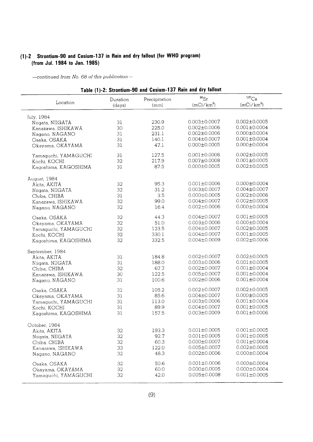## (1)-2 Strontium-90 and Cesium-137 in Rain and dry fallout (for WHO program) (from Jul. 1984 to Jan. 1985)

| $^{90}Sr$<br>$^{137}Cs$<br>Precipitation<br>Duration<br>Location<br>$(mCi/km^2)$<br>$(mCi/km^2)$<br>(mm)<br>(days)<br>July, 1984<br>$0.002 \pm 0.0005$<br>$0.003 \pm 0.0007$<br>230.9<br>31<br>Niigata, NIIGATA<br>$0.001 \pm 0.0004$<br>$0.002 \pm 0.0006$<br>225.0<br>30<br>Kanazawa, ISHIKAWA<br>$0.000 \pm 0.0004$<br>$0.002 \pm 0.0006$<br>231.1<br>31<br>Nagano, NAGANO<br>$0.001 \pm 0.0004$<br>$0.004 \pm 0.0007$<br>140.1<br>31<br>Osaka, OSAKA<br>$0.000 \pm 0.0004$<br>$0.000 \pm 0.0005$<br>47.1<br>31<br>Okayama, OKAYAMA<br>$0.002 \pm 0.0005$<br>$0.001 \pm 0.0006$<br>127.5<br>31<br>Yamaguchi, YAMAGUCHI<br>$0.001 \pm 0.0005$<br>$0.007 \pm 0.0008$<br>32<br>217.9<br>Kochi, KOCHI<br>$0.002 \pm 0.0005$<br>$0.000 \pm 0.0005$<br>31<br>87.5<br>Kagoshima, KAGOSHIMA<br>August, 1984<br>$0.000 \pm 0.0004$<br>$0.001 \pm 0.0006$<br>95.3<br>32<br>Akita, AKITA<br>$0.004 \pm 0.0007$<br>31.2<br>$0.003 \pm 0.0007$<br>32<br>Niigata, NIIGATA<br>3.5<br>$0.002 \pm 0.0006$<br>$0.000 \pm 0.0005$<br>31<br>Chiba, CHIBA<br>$0.002 \pm 0.0005$<br>99.0<br>$0.004 \pm 0.0007$<br>32<br>Kanazawa, ISHIKAWA<br>$0.000 \pm 0.0004$<br>$0.002 \pm 0.0006$<br>16.4<br>32<br>Nagano, NAGANO<br>$0.004 \pm 0.0007$<br>$0.001 \pm 0.0005$<br>32<br>44.3<br>Osaka, OSAKA<br>$0.000 \pm 0.0004$<br>51.0<br>$0.003 \pm 0.0006$<br>32<br>Okayama, OKAYAMA<br>$0.002 \pm 0.0005$<br>$0.004 \pm 0.0007$<br>123.5<br>32<br>Yamaguchi, YAMAGUCHI<br>$0.001 \pm 0.0005$<br>$0.004 \pm 0.0007$<br>330.1<br>32<br>Kochi, KOCHI<br>$0.002 \pm 0.0006$<br>332.5<br>$0.004 \pm 0.0009$<br>32<br>Kagoshima, KAGOSHIMA<br>September, 1984<br>$0.002 \pm 0.0007$<br>$0.002 \pm 0.0005$<br>184.8<br>31<br>Akita, AKITA<br>$0.003 \pm 0.0006$<br>$0.001 \pm 0.0005$<br>31<br>188.0<br>Niigata, NIIGATA<br>$0.001 \pm 0.0004$<br>67.7<br>$0.002 \pm 0.0007$<br>32<br>Chiba, CHIBA<br>$0.001 \pm 0.0004$<br>122.5<br>$0.005 \pm 0.0007$<br>30<br>Kanazawa, ISHIKAWA<br>$0.002 \pm 0.0006$<br>$0.001 \pm 0.0004$<br>100.6<br>31<br>Nagano, NAGANO<br>$0.002 \pm 0.0005$<br>$0.002 \pm 0.0007$<br>31<br>105.2<br>Osaka, OSAKA<br>$0.000 \pm 0.0005$<br>85.6<br>$0.004 \pm 0.0007$<br>31<br>Okayama, OKAYAMA<br>$0.001 \pm 0.0004$<br>$0.003 \pm 0.0006$<br>113.0<br>31<br>Yamaguchi, YAMAGUCHI<br>$0.004 \pm 0.0007$<br>$0.001 \pm 0.0005$<br>89.9<br>31<br>Kochi, KOCHI<br>$0.001 \pm 0.0006$<br>157.5<br>$0.003 \pm 0.0009$<br>31<br>Kagoshima, KAGOSHIMA<br>October, 1984<br>$0.001 \pm 0.0005$<br>193.3<br>$0.001 \pm 0.0005$<br>32<br>Akita, AKITA<br>$0.001 \pm 0.0005$<br>$0.001 \pm 0.0005$<br>92.7<br>32<br>Niigata, NIIGATA<br>$0.001 \pm 0.0004$<br>60.3<br>$0.000 \pm 0.0007$<br>32<br>Chiba, CHIBA<br>$0.005 \pm 0.0007$<br>$0.002 \pm 0.0005$<br>122.0<br>33<br>Kanazawa, ISHIKAWA<br>$0.002 \pm 0.0006$<br>$0.000 \pm 0.0004$<br>32<br>48.3<br>Nagano, NAGANO<br>$0.001 \pm 0.0006$<br>$0.000 \pm 0.0004$<br>32<br>50.6<br>Osaka, OSAKA<br>$0.000 \pm 0.0005$<br>$0.000 \pm 0.0004$<br>60.0<br>32<br>Okayama, OKAYAMA | Table (1)-2: Strontium-90 and Cesium-137 Rain and dry fallout |    |      |                    |                    |  |  |
|---------------------------------------------------------------------------------------------------------------------------------------------------------------------------------------------------------------------------------------------------------------------------------------------------------------------------------------------------------------------------------------------------------------------------------------------------------------------------------------------------------------------------------------------------------------------------------------------------------------------------------------------------------------------------------------------------------------------------------------------------------------------------------------------------------------------------------------------------------------------------------------------------------------------------------------------------------------------------------------------------------------------------------------------------------------------------------------------------------------------------------------------------------------------------------------------------------------------------------------------------------------------------------------------------------------------------------------------------------------------------------------------------------------------------------------------------------------------------------------------------------------------------------------------------------------------------------------------------------------------------------------------------------------------------------------------------------------------------------------------------------------------------------------------------------------------------------------------------------------------------------------------------------------------------------------------------------------------------------------------------------------------------------------------------------------------------------------------------------------------------------------------------------------------------------------------------------------------------------------------------------------------------------------------------------------------------------------------------------------------------------------------------------------------------------------------------------------------------------------------------------------------------------------------------------------------------------------------------------------------------------------------------------------------------------------------------------------------------------------------------------------------------------------------------------------------------------------------------------------------------------------------------------------------------------------------------------------------------------------------------------------------|---------------------------------------------------------------|----|------|--------------------|--------------------|--|--|
|                                                                                                                                                                                                                                                                                                                                                                                                                                                                                                                                                                                                                                                                                                                                                                                                                                                                                                                                                                                                                                                                                                                                                                                                                                                                                                                                                                                                                                                                                                                                                                                                                                                                                                                                                                                                                                                                                                                                                                                                                                                                                                                                                                                                                                                                                                                                                                                                                                                                                                                                                                                                                                                                                                                                                                                                                                                                                                                                                                                                                     |                                                               |    |      |                    |                    |  |  |
|                                                                                                                                                                                                                                                                                                                                                                                                                                                                                                                                                                                                                                                                                                                                                                                                                                                                                                                                                                                                                                                                                                                                                                                                                                                                                                                                                                                                                                                                                                                                                                                                                                                                                                                                                                                                                                                                                                                                                                                                                                                                                                                                                                                                                                                                                                                                                                                                                                                                                                                                                                                                                                                                                                                                                                                                                                                                                                                                                                                                                     |                                                               |    |      |                    |                    |  |  |
|                                                                                                                                                                                                                                                                                                                                                                                                                                                                                                                                                                                                                                                                                                                                                                                                                                                                                                                                                                                                                                                                                                                                                                                                                                                                                                                                                                                                                                                                                                                                                                                                                                                                                                                                                                                                                                                                                                                                                                                                                                                                                                                                                                                                                                                                                                                                                                                                                                                                                                                                                                                                                                                                                                                                                                                                                                                                                                                                                                                                                     |                                                               |    |      |                    |                    |  |  |
|                                                                                                                                                                                                                                                                                                                                                                                                                                                                                                                                                                                                                                                                                                                                                                                                                                                                                                                                                                                                                                                                                                                                                                                                                                                                                                                                                                                                                                                                                                                                                                                                                                                                                                                                                                                                                                                                                                                                                                                                                                                                                                                                                                                                                                                                                                                                                                                                                                                                                                                                                                                                                                                                                                                                                                                                                                                                                                                                                                                                                     |                                                               |    |      |                    |                    |  |  |
|                                                                                                                                                                                                                                                                                                                                                                                                                                                                                                                                                                                                                                                                                                                                                                                                                                                                                                                                                                                                                                                                                                                                                                                                                                                                                                                                                                                                                                                                                                                                                                                                                                                                                                                                                                                                                                                                                                                                                                                                                                                                                                                                                                                                                                                                                                                                                                                                                                                                                                                                                                                                                                                                                                                                                                                                                                                                                                                                                                                                                     |                                                               |    |      |                    |                    |  |  |
|                                                                                                                                                                                                                                                                                                                                                                                                                                                                                                                                                                                                                                                                                                                                                                                                                                                                                                                                                                                                                                                                                                                                                                                                                                                                                                                                                                                                                                                                                                                                                                                                                                                                                                                                                                                                                                                                                                                                                                                                                                                                                                                                                                                                                                                                                                                                                                                                                                                                                                                                                                                                                                                                                                                                                                                                                                                                                                                                                                                                                     |                                                               |    |      |                    |                    |  |  |
|                                                                                                                                                                                                                                                                                                                                                                                                                                                                                                                                                                                                                                                                                                                                                                                                                                                                                                                                                                                                                                                                                                                                                                                                                                                                                                                                                                                                                                                                                                                                                                                                                                                                                                                                                                                                                                                                                                                                                                                                                                                                                                                                                                                                                                                                                                                                                                                                                                                                                                                                                                                                                                                                                                                                                                                                                                                                                                                                                                                                                     |                                                               |    |      |                    |                    |  |  |
|                                                                                                                                                                                                                                                                                                                                                                                                                                                                                                                                                                                                                                                                                                                                                                                                                                                                                                                                                                                                                                                                                                                                                                                                                                                                                                                                                                                                                                                                                                                                                                                                                                                                                                                                                                                                                                                                                                                                                                                                                                                                                                                                                                                                                                                                                                                                                                                                                                                                                                                                                                                                                                                                                                                                                                                                                                                                                                                                                                                                                     |                                                               |    |      |                    |                    |  |  |
|                                                                                                                                                                                                                                                                                                                                                                                                                                                                                                                                                                                                                                                                                                                                                                                                                                                                                                                                                                                                                                                                                                                                                                                                                                                                                                                                                                                                                                                                                                                                                                                                                                                                                                                                                                                                                                                                                                                                                                                                                                                                                                                                                                                                                                                                                                                                                                                                                                                                                                                                                                                                                                                                                                                                                                                                                                                                                                                                                                                                                     |                                                               |    |      |                    |                    |  |  |
|                                                                                                                                                                                                                                                                                                                                                                                                                                                                                                                                                                                                                                                                                                                                                                                                                                                                                                                                                                                                                                                                                                                                                                                                                                                                                                                                                                                                                                                                                                                                                                                                                                                                                                                                                                                                                                                                                                                                                                                                                                                                                                                                                                                                                                                                                                                                                                                                                                                                                                                                                                                                                                                                                                                                                                                                                                                                                                                                                                                                                     |                                                               |    |      |                    |                    |  |  |
|                                                                                                                                                                                                                                                                                                                                                                                                                                                                                                                                                                                                                                                                                                                                                                                                                                                                                                                                                                                                                                                                                                                                                                                                                                                                                                                                                                                                                                                                                                                                                                                                                                                                                                                                                                                                                                                                                                                                                                                                                                                                                                                                                                                                                                                                                                                                                                                                                                                                                                                                                                                                                                                                                                                                                                                                                                                                                                                                                                                                                     |                                                               |    |      |                    |                    |  |  |
|                                                                                                                                                                                                                                                                                                                                                                                                                                                                                                                                                                                                                                                                                                                                                                                                                                                                                                                                                                                                                                                                                                                                                                                                                                                                                                                                                                                                                                                                                                                                                                                                                                                                                                                                                                                                                                                                                                                                                                                                                                                                                                                                                                                                                                                                                                                                                                                                                                                                                                                                                                                                                                                                                                                                                                                                                                                                                                                                                                                                                     |                                                               |    |      |                    |                    |  |  |
|                                                                                                                                                                                                                                                                                                                                                                                                                                                                                                                                                                                                                                                                                                                                                                                                                                                                                                                                                                                                                                                                                                                                                                                                                                                                                                                                                                                                                                                                                                                                                                                                                                                                                                                                                                                                                                                                                                                                                                                                                                                                                                                                                                                                                                                                                                                                                                                                                                                                                                                                                                                                                                                                                                                                                                                                                                                                                                                                                                                                                     |                                                               |    |      |                    |                    |  |  |
|                                                                                                                                                                                                                                                                                                                                                                                                                                                                                                                                                                                                                                                                                                                                                                                                                                                                                                                                                                                                                                                                                                                                                                                                                                                                                                                                                                                                                                                                                                                                                                                                                                                                                                                                                                                                                                                                                                                                                                                                                                                                                                                                                                                                                                                                                                                                                                                                                                                                                                                                                                                                                                                                                                                                                                                                                                                                                                                                                                                                                     |                                                               |    |      |                    |                    |  |  |
|                                                                                                                                                                                                                                                                                                                                                                                                                                                                                                                                                                                                                                                                                                                                                                                                                                                                                                                                                                                                                                                                                                                                                                                                                                                                                                                                                                                                                                                                                                                                                                                                                                                                                                                                                                                                                                                                                                                                                                                                                                                                                                                                                                                                                                                                                                                                                                                                                                                                                                                                                                                                                                                                                                                                                                                                                                                                                                                                                                                                                     |                                                               |    |      |                    |                    |  |  |
|                                                                                                                                                                                                                                                                                                                                                                                                                                                                                                                                                                                                                                                                                                                                                                                                                                                                                                                                                                                                                                                                                                                                                                                                                                                                                                                                                                                                                                                                                                                                                                                                                                                                                                                                                                                                                                                                                                                                                                                                                                                                                                                                                                                                                                                                                                                                                                                                                                                                                                                                                                                                                                                                                                                                                                                                                                                                                                                                                                                                                     |                                                               |    |      |                    |                    |  |  |
|                                                                                                                                                                                                                                                                                                                                                                                                                                                                                                                                                                                                                                                                                                                                                                                                                                                                                                                                                                                                                                                                                                                                                                                                                                                                                                                                                                                                                                                                                                                                                                                                                                                                                                                                                                                                                                                                                                                                                                                                                                                                                                                                                                                                                                                                                                                                                                                                                                                                                                                                                                                                                                                                                                                                                                                                                                                                                                                                                                                                                     |                                                               |    |      |                    |                    |  |  |
|                                                                                                                                                                                                                                                                                                                                                                                                                                                                                                                                                                                                                                                                                                                                                                                                                                                                                                                                                                                                                                                                                                                                                                                                                                                                                                                                                                                                                                                                                                                                                                                                                                                                                                                                                                                                                                                                                                                                                                                                                                                                                                                                                                                                                                                                                                                                                                                                                                                                                                                                                                                                                                                                                                                                                                                                                                                                                                                                                                                                                     |                                                               |    |      |                    |                    |  |  |
|                                                                                                                                                                                                                                                                                                                                                                                                                                                                                                                                                                                                                                                                                                                                                                                                                                                                                                                                                                                                                                                                                                                                                                                                                                                                                                                                                                                                                                                                                                                                                                                                                                                                                                                                                                                                                                                                                                                                                                                                                                                                                                                                                                                                                                                                                                                                                                                                                                                                                                                                                                                                                                                                                                                                                                                                                                                                                                                                                                                                                     |                                                               |    |      |                    |                    |  |  |
|                                                                                                                                                                                                                                                                                                                                                                                                                                                                                                                                                                                                                                                                                                                                                                                                                                                                                                                                                                                                                                                                                                                                                                                                                                                                                                                                                                                                                                                                                                                                                                                                                                                                                                                                                                                                                                                                                                                                                                                                                                                                                                                                                                                                                                                                                                                                                                                                                                                                                                                                                                                                                                                                                                                                                                                                                                                                                                                                                                                                                     |                                                               |    |      |                    |                    |  |  |
|                                                                                                                                                                                                                                                                                                                                                                                                                                                                                                                                                                                                                                                                                                                                                                                                                                                                                                                                                                                                                                                                                                                                                                                                                                                                                                                                                                                                                                                                                                                                                                                                                                                                                                                                                                                                                                                                                                                                                                                                                                                                                                                                                                                                                                                                                                                                                                                                                                                                                                                                                                                                                                                                                                                                                                                                                                                                                                                                                                                                                     |                                                               |    |      |                    |                    |  |  |
|                                                                                                                                                                                                                                                                                                                                                                                                                                                                                                                                                                                                                                                                                                                                                                                                                                                                                                                                                                                                                                                                                                                                                                                                                                                                                                                                                                                                                                                                                                                                                                                                                                                                                                                                                                                                                                                                                                                                                                                                                                                                                                                                                                                                                                                                                                                                                                                                                                                                                                                                                                                                                                                                                                                                                                                                                                                                                                                                                                                                                     |                                                               |    |      |                    |                    |  |  |
|                                                                                                                                                                                                                                                                                                                                                                                                                                                                                                                                                                                                                                                                                                                                                                                                                                                                                                                                                                                                                                                                                                                                                                                                                                                                                                                                                                                                                                                                                                                                                                                                                                                                                                                                                                                                                                                                                                                                                                                                                                                                                                                                                                                                                                                                                                                                                                                                                                                                                                                                                                                                                                                                                                                                                                                                                                                                                                                                                                                                                     |                                                               |    |      |                    |                    |  |  |
|                                                                                                                                                                                                                                                                                                                                                                                                                                                                                                                                                                                                                                                                                                                                                                                                                                                                                                                                                                                                                                                                                                                                                                                                                                                                                                                                                                                                                                                                                                                                                                                                                                                                                                                                                                                                                                                                                                                                                                                                                                                                                                                                                                                                                                                                                                                                                                                                                                                                                                                                                                                                                                                                                                                                                                                                                                                                                                                                                                                                                     |                                                               |    |      |                    |                    |  |  |
|                                                                                                                                                                                                                                                                                                                                                                                                                                                                                                                                                                                                                                                                                                                                                                                                                                                                                                                                                                                                                                                                                                                                                                                                                                                                                                                                                                                                                                                                                                                                                                                                                                                                                                                                                                                                                                                                                                                                                                                                                                                                                                                                                                                                                                                                                                                                                                                                                                                                                                                                                                                                                                                                                                                                                                                                                                                                                                                                                                                                                     |                                                               |    |      |                    |                    |  |  |
|                                                                                                                                                                                                                                                                                                                                                                                                                                                                                                                                                                                                                                                                                                                                                                                                                                                                                                                                                                                                                                                                                                                                                                                                                                                                                                                                                                                                                                                                                                                                                                                                                                                                                                                                                                                                                                                                                                                                                                                                                                                                                                                                                                                                                                                                                                                                                                                                                                                                                                                                                                                                                                                                                                                                                                                                                                                                                                                                                                                                                     |                                                               |    |      |                    |                    |  |  |
|                                                                                                                                                                                                                                                                                                                                                                                                                                                                                                                                                                                                                                                                                                                                                                                                                                                                                                                                                                                                                                                                                                                                                                                                                                                                                                                                                                                                                                                                                                                                                                                                                                                                                                                                                                                                                                                                                                                                                                                                                                                                                                                                                                                                                                                                                                                                                                                                                                                                                                                                                                                                                                                                                                                                                                                                                                                                                                                                                                                                                     |                                                               |    |      |                    |                    |  |  |
|                                                                                                                                                                                                                                                                                                                                                                                                                                                                                                                                                                                                                                                                                                                                                                                                                                                                                                                                                                                                                                                                                                                                                                                                                                                                                                                                                                                                                                                                                                                                                                                                                                                                                                                                                                                                                                                                                                                                                                                                                                                                                                                                                                                                                                                                                                                                                                                                                                                                                                                                                                                                                                                                                                                                                                                                                                                                                                                                                                                                                     |                                                               |    |      |                    |                    |  |  |
|                                                                                                                                                                                                                                                                                                                                                                                                                                                                                                                                                                                                                                                                                                                                                                                                                                                                                                                                                                                                                                                                                                                                                                                                                                                                                                                                                                                                                                                                                                                                                                                                                                                                                                                                                                                                                                                                                                                                                                                                                                                                                                                                                                                                                                                                                                                                                                                                                                                                                                                                                                                                                                                                                                                                                                                                                                                                                                                                                                                                                     |                                                               |    |      |                    |                    |  |  |
|                                                                                                                                                                                                                                                                                                                                                                                                                                                                                                                                                                                                                                                                                                                                                                                                                                                                                                                                                                                                                                                                                                                                                                                                                                                                                                                                                                                                                                                                                                                                                                                                                                                                                                                                                                                                                                                                                                                                                                                                                                                                                                                                                                                                                                                                                                                                                                                                                                                                                                                                                                                                                                                                                                                                                                                                                                                                                                                                                                                                                     |                                                               |    |      |                    |                    |  |  |
|                                                                                                                                                                                                                                                                                                                                                                                                                                                                                                                                                                                                                                                                                                                                                                                                                                                                                                                                                                                                                                                                                                                                                                                                                                                                                                                                                                                                                                                                                                                                                                                                                                                                                                                                                                                                                                                                                                                                                                                                                                                                                                                                                                                                                                                                                                                                                                                                                                                                                                                                                                                                                                                                                                                                                                                                                                                                                                                                                                                                                     |                                                               |    |      |                    |                    |  |  |
|                                                                                                                                                                                                                                                                                                                                                                                                                                                                                                                                                                                                                                                                                                                                                                                                                                                                                                                                                                                                                                                                                                                                                                                                                                                                                                                                                                                                                                                                                                                                                                                                                                                                                                                                                                                                                                                                                                                                                                                                                                                                                                                                                                                                                                                                                                                                                                                                                                                                                                                                                                                                                                                                                                                                                                                                                                                                                                                                                                                                                     |                                                               |    |      |                    |                    |  |  |
|                                                                                                                                                                                                                                                                                                                                                                                                                                                                                                                                                                                                                                                                                                                                                                                                                                                                                                                                                                                                                                                                                                                                                                                                                                                                                                                                                                                                                                                                                                                                                                                                                                                                                                                                                                                                                                                                                                                                                                                                                                                                                                                                                                                                                                                                                                                                                                                                                                                                                                                                                                                                                                                                                                                                                                                                                                                                                                                                                                                                                     |                                                               |    |      |                    |                    |  |  |
|                                                                                                                                                                                                                                                                                                                                                                                                                                                                                                                                                                                                                                                                                                                                                                                                                                                                                                                                                                                                                                                                                                                                                                                                                                                                                                                                                                                                                                                                                                                                                                                                                                                                                                                                                                                                                                                                                                                                                                                                                                                                                                                                                                                                                                                                                                                                                                                                                                                                                                                                                                                                                                                                                                                                                                                                                                                                                                                                                                                                                     |                                                               |    |      |                    |                    |  |  |
|                                                                                                                                                                                                                                                                                                                                                                                                                                                                                                                                                                                                                                                                                                                                                                                                                                                                                                                                                                                                                                                                                                                                                                                                                                                                                                                                                                                                                                                                                                                                                                                                                                                                                                                                                                                                                                                                                                                                                                                                                                                                                                                                                                                                                                                                                                                                                                                                                                                                                                                                                                                                                                                                                                                                                                                                                                                                                                                                                                                                                     |                                                               |    |      |                    |                    |  |  |
|                                                                                                                                                                                                                                                                                                                                                                                                                                                                                                                                                                                                                                                                                                                                                                                                                                                                                                                                                                                                                                                                                                                                                                                                                                                                                                                                                                                                                                                                                                                                                                                                                                                                                                                                                                                                                                                                                                                                                                                                                                                                                                                                                                                                                                                                                                                                                                                                                                                                                                                                                                                                                                                                                                                                                                                                                                                                                                                                                                                                                     |                                                               |    |      |                    |                    |  |  |
|                                                                                                                                                                                                                                                                                                                                                                                                                                                                                                                                                                                                                                                                                                                                                                                                                                                                                                                                                                                                                                                                                                                                                                                                                                                                                                                                                                                                                                                                                                                                                                                                                                                                                                                                                                                                                                                                                                                                                                                                                                                                                                                                                                                                                                                                                                                                                                                                                                                                                                                                                                                                                                                                                                                                                                                                                                                                                                                                                                                                                     |                                                               |    |      |                    |                    |  |  |
|                                                                                                                                                                                                                                                                                                                                                                                                                                                                                                                                                                                                                                                                                                                                                                                                                                                                                                                                                                                                                                                                                                                                                                                                                                                                                                                                                                                                                                                                                                                                                                                                                                                                                                                                                                                                                                                                                                                                                                                                                                                                                                                                                                                                                                                                                                                                                                                                                                                                                                                                                                                                                                                                                                                                                                                                                                                                                                                                                                                                                     |                                                               |    |      |                    |                    |  |  |
|                                                                                                                                                                                                                                                                                                                                                                                                                                                                                                                                                                                                                                                                                                                                                                                                                                                                                                                                                                                                                                                                                                                                                                                                                                                                                                                                                                                                                                                                                                                                                                                                                                                                                                                                                                                                                                                                                                                                                                                                                                                                                                                                                                                                                                                                                                                                                                                                                                                                                                                                                                                                                                                                                                                                                                                                                                                                                                                                                                                                                     |                                                               |    |      |                    |                    |  |  |
|                                                                                                                                                                                                                                                                                                                                                                                                                                                                                                                                                                                                                                                                                                                                                                                                                                                                                                                                                                                                                                                                                                                                                                                                                                                                                                                                                                                                                                                                                                                                                                                                                                                                                                                                                                                                                                                                                                                                                                                                                                                                                                                                                                                                                                                                                                                                                                                                                                                                                                                                                                                                                                                                                                                                                                                                                                                                                                                                                                                                                     |                                                               |    |      |                    |                    |  |  |
|                                                                                                                                                                                                                                                                                                                                                                                                                                                                                                                                                                                                                                                                                                                                                                                                                                                                                                                                                                                                                                                                                                                                                                                                                                                                                                                                                                                                                                                                                                                                                                                                                                                                                                                                                                                                                                                                                                                                                                                                                                                                                                                                                                                                                                                                                                                                                                                                                                                                                                                                                                                                                                                                                                                                                                                                                                                                                                                                                                                                                     |                                                               |    |      |                    |                    |  |  |
|                                                                                                                                                                                                                                                                                                                                                                                                                                                                                                                                                                                                                                                                                                                                                                                                                                                                                                                                                                                                                                                                                                                                                                                                                                                                                                                                                                                                                                                                                                                                                                                                                                                                                                                                                                                                                                                                                                                                                                                                                                                                                                                                                                                                                                                                                                                                                                                                                                                                                                                                                                                                                                                                                                                                                                                                                                                                                                                                                                                                                     |                                                               |    |      |                    |                    |  |  |
|                                                                                                                                                                                                                                                                                                                                                                                                                                                                                                                                                                                                                                                                                                                                                                                                                                                                                                                                                                                                                                                                                                                                                                                                                                                                                                                                                                                                                                                                                                                                                                                                                                                                                                                                                                                                                                                                                                                                                                                                                                                                                                                                                                                                                                                                                                                                                                                                                                                                                                                                                                                                                                                                                                                                                                                                                                                                                                                                                                                                                     |                                                               |    |      |                    |                    |  |  |
|                                                                                                                                                                                                                                                                                                                                                                                                                                                                                                                                                                                                                                                                                                                                                                                                                                                                                                                                                                                                                                                                                                                                                                                                                                                                                                                                                                                                                                                                                                                                                                                                                                                                                                                                                                                                                                                                                                                                                                                                                                                                                                                                                                                                                                                                                                                                                                                                                                                                                                                                                                                                                                                                                                                                                                                                                                                                                                                                                                                                                     |                                                               |    |      |                    |                    |  |  |
|                                                                                                                                                                                                                                                                                                                                                                                                                                                                                                                                                                                                                                                                                                                                                                                                                                                                                                                                                                                                                                                                                                                                                                                                                                                                                                                                                                                                                                                                                                                                                                                                                                                                                                                                                                                                                                                                                                                                                                                                                                                                                                                                                                                                                                                                                                                                                                                                                                                                                                                                                                                                                                                                                                                                                                                                                                                                                                                                                                                                                     | Yamaguchi, YAMAGUCHI                                          | 32 | 42.0 | $0.005 \pm 0.0008$ | $0.001 \pm 0.0005$ |  |  |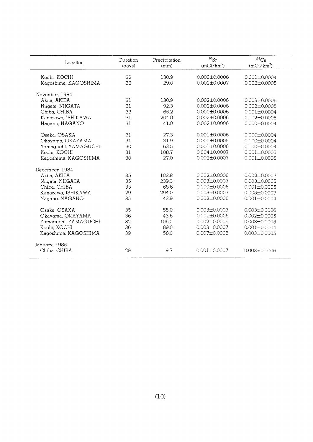| Location             | Duration<br>(days) | Precipitation<br>(mm) | $^{90}Sr$<br>$(mCi/km^2)$ | $^{137}Cs$<br>$(mCi/km^2)$ |
|----------------------|--------------------|-----------------------|---------------------------|----------------------------|
| Kochi, KOCHI         | 32                 | 130.9                 | $0.003 \pm 0.0006$        | $0.001 \pm 0.0004$         |
| Kagoshima, KAGOSHIMA | 32                 | 29.0                  | $0.002 \pm 0.0007$        | $0.002 \pm 0.0005$         |
| Novenber, 1984       |                    |                       |                           |                            |
| Akita, AKITA         | 31                 | 130.9                 | $0.002 \pm 0.0006$        | $0.003 \pm 0.0006$         |
| Niigata, NIIGATA     | 31                 | 92.3                  | $0.002 \pm 0.0006$        | $0.002 \pm 0.0005$         |
| Chiba, CHIBA         | 33                 | 65.2                  | $0.000 \pm 0.0006$        | $0.001 \pm 0.0004$         |
| Kanazawa, ISHIKAWA   | 31                 | 204.0                 | $0.002 \pm 0.0006$        | $0.002 \pm 0.0005$         |
| Nagano, NAGANO       | 31                 | 41.0                  | $0.002 \pm 0.0006$        | $0.000 \pm 0.0004$         |
| Osaka, OSAKA         | 31                 | 27.3                  | $0.001 \pm 0.0006$        | $0.000 \pm 0.0004$         |
| Okayama, OKAYAMA     | 31                 | 31.9                  | $0.000 \pm 0.0005$        | $0.000 \pm 0.0004$         |
| Yamaguchi, YAMAGUCHI | 30                 | 63.5                  | $0.001 \pm 0.0006$        | $0.000 \pm 0.0004$         |
| Kochi, KOCHI         | 31                 | 108.7                 | $0.004 \pm 0.0007$        | $0.001 \pm 0.0005$         |
| Kagoshima, KAGOSHIMA | 30                 | 27.0                  | $0.002 \pm 0.0007$        | $0.001 \pm 0.0005$         |
| December, 1984       |                    |                       |                           |                            |
| Akita, AKITA         | 35                 | 103.8                 | $0.002 \pm 0.0006$        | $0.002 \pm 0.0007$         |
| Niigata, NIIGATA     | 35                 | 239.3                 | $0.003 + 0.0007$          | $0.003 \pm 0.0005$         |
| Chiba. CHIBA         | 33                 | 68.6                  | $0.000 \pm 0.0006$        | $0.001 \pm 0.0005$         |
| Kanazawa, ISHIKAWA   | 29                 | 294.0                 | $0.003 \pm 0.0007$        | $0.005 \pm 0.0007$         |
| Nagano, NAGANO       | 35                 | 43.9                  | $0.002 \pm 0.0006$        | $0.001 \pm 0.0004$         |
| Osaka, OSAKA         | 35                 | 55.0                  | $0.003 \pm 0.0007$        | $0.003 \pm 0.0006$         |
| Okayama, OKAYAMA     | 36                 | 43.6                  | $0.001 \pm 0.0006$        | $0.002 \pm 0.0005$         |
| Yamaguchi, YAMAGUCHI | 32                 | 106.0                 | $0.002 \pm 0.0006$        | $0.003 \pm 0.0005$         |
| Kochi, KOCHI         | 36                 | 89.0                  | $0.003 \pm 0.0007$        | $0.001 \pm 0.0004$         |
| Kagoshima, KAGOSHIMA | 39                 | 58.0                  | $0.007 \pm 0.0008$        | $0.003 \pm 0.0005$         |
| January, 1985        |                    |                       |                           |                            |
| Chiba, CHIBA         | 29                 | 9.7                   | $0.001 \pm 0.0007$        | $0.003 \pm 0.0006$         |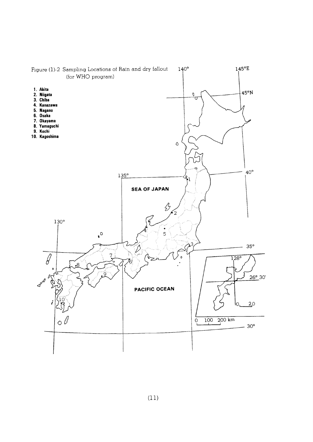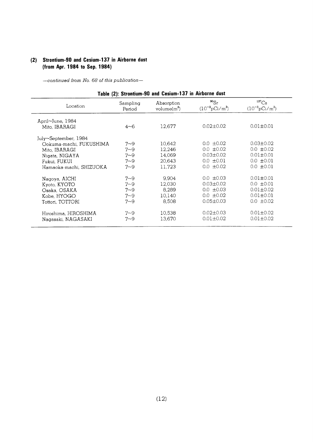#### (2) Strontium-90 and Cesium-137 in Airborne dust (from Apr. 1984 to Sep. 1984)

| Table (2): Strontium-90 and Cesium-137 in Airborne dust |                    |                              |                                         |                                            |
|---------------------------------------------------------|--------------------|------------------------------|-----------------------------------------|--------------------------------------------|
| Location                                                | Sampling<br>Period | Absorption<br>volume $(m^3)$ | $^{90}Sr$<br>$(10^{-3} \text{pCi/m}^3)$ | ${}^{137}Cs$<br>$(10^{-3} \text{pCi/m}^3)$ |
| April~June, 1984                                        |                    |                              |                                         |                                            |
| Mito, IBARAGI                                           | $4 - 6$            | 12,677                       | $0.02 \pm 0.02$                         | $0.01 \pm 0.01$                            |
| July~September, 1984                                    |                    |                              |                                         |                                            |
| Ookuma-machi, FUKUSHIMA                                 | $7 - 9$            | 10.642                       | $0.0 \pm 0.02$                          | $0.03 \pm 0.02$                            |
| Mito, IBARAGI                                           | $7 - 9$            | 12.246                       | $0.0 \pm 0.02$                          | $0.0 \pm 0.02$                             |
| Nigata, NIGAYA                                          | $7 - 9$            | 14,069                       | $0.03 \pm 0.02$                         | $0.01 \pm 0.01$                            |
| Fukui, FUKUI                                            | $7 - 9$            | 20,643                       | $0.0 \pm 0.01$                          | $0.0 \pm 0.01$                             |
| Hamaoka-machi, SHIZUOKA                                 | $7 - 9$            | 11.723                       | $0.0 \pm 0.02$                          | $0.0 \pm 0.01$                             |
| Nagoya, AICHI                                           | $7 - 9$            | 9,904                        | $0.0 \pm 0.03$                          | $0.01 \pm 0.01$                            |
| Kyoto, KYOTO                                            | $7 - 9$            | 12,030                       | $0.03 \pm 0.02$                         | $0.0 \pm 0.01$                             |
| Osaka, OSAKA                                            | $7 - 9$            | 8.289                        | $0.0 \pm 0.03$                          | $0.01 + 0.02$                              |
| Kobe, HYOGO                                             | $7 - 9$            | 10.140                       | $0.0 \pm 0.02$                          | $0.01 + 0.01$                              |
| Tottori, TOTTORI                                        | $7 - 9$            | 8,508                        | $0.05 \pm 0.03$                         | $0.0 \pm 0.02$                             |
| Hiroshima, HIROSHIMA                                    | $7 - 9$            | 10,538                       | $0.02 \pm 0.03$                         | $0.01 \pm 0.02$                            |
| Nagasaki, NAGASAKI                                      | $7 - 9$            | 13,670                       | $0.01 \pm 0.02$                         | $0.01 \pm 0.02$                            |
|                                                         |                    |                              |                                         |                                            |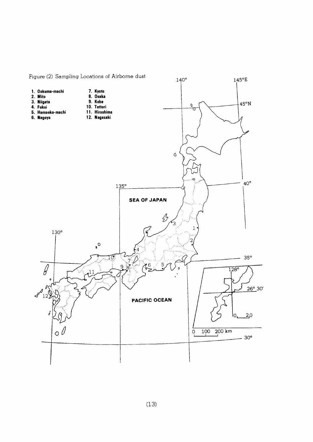

Figure (2) Sampling Locations of Airborne dust

 $(13)$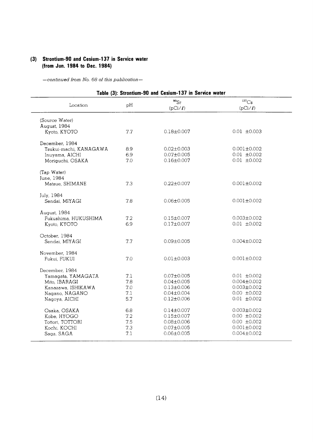#### (3) Strontium-90 and Cesium-137 in Service water (from Jun. 1984 to Dec. 1984)

|                        |     | Table (3): Strontium-90 and Cesium-137 in Service water |                              |  |
|------------------------|-----|---------------------------------------------------------|------------------------------|--|
| Location               | pH  | $^{90}Sr$<br>$(pCi/\ell)$                               | ${}^{137}Cs$<br>$(pCi/\ell)$ |  |
| (Source Water)         |     |                                                         |                              |  |
| August, 1984           |     |                                                         |                              |  |
| Kyoto, KYOTO           | 7.7 | $0.18 \pm 0.007$                                        | $0.01 \pm 0.003$             |  |
| December, 1984         |     |                                                         |                              |  |
| Tsukui-machi, KANAGAWA | 8.9 | $0.02 \pm 0.003$                                        | $0.001 \pm 0.002$            |  |
| Inuyama, AICHI         | 6.9 | $0.07 \pm 0.005$                                        | $0.01 \pm 0.002$             |  |
| Moriguchi, OSAKA       | 7.0 | $0.16 \pm 0.007$                                        | $0.01 \pm 0.002$             |  |
| (Tap Water)            |     |                                                         |                              |  |
| June, 1984             |     |                                                         |                              |  |
| Matsue, SHIMANE        | 7.3 | $0.22 \pm 0.007$                                        | $0.001 + 0.002$              |  |
| July, 1984             |     |                                                         |                              |  |
| Sendai, MIYAGI         | 7.8 | $0.06 \pm 0.005$                                        | $0.001 \pm 0.002$            |  |
| August, 1984           |     |                                                         |                              |  |
| Fukushima, HUKUSHIMA   | 72  | $0.15 \pm 0.007$                                        | $0.003 \pm 0.002$            |  |
| Kyoto, KYOTO           | 6.9 | $0.17 \pm 0.007$                                        | $0.01 \pm 0.002$             |  |
| October, 1984          |     |                                                         |                              |  |
| Sendai, MIYAGI         | 7.7 | $0.09 \pm 0.005$                                        | $0.004 \pm 0.002$            |  |
|                        |     |                                                         |                              |  |
| November, 1984         |     |                                                         |                              |  |
| Fukui, FUKUI           | 7.0 | $0.01 \pm 0.003$                                        | $0.001 \pm 0.002$            |  |
| December, 1984         |     |                                                         |                              |  |
| Yamagata, YAMAGATA     | 7.1 | $0.07 \pm 0.005$                                        | $0.01 \pm 0.002$             |  |
| Mito, IBARAGI          | 7.8 | $0.04 \pm 0.005$                                        | $0.004 \pm 0.002$            |  |
| Kanazawa, ISHIKAWA     | 7.0 | $0.13 \pm 0.006$                                        | $0.003 \pm 0.002$            |  |
| Nagano, NAGANO         | 7.1 | $0.04 \pm 0.004$                                        | $0.00 \pm 0.002$             |  |
| Nagoya, AICHI          | 5.7 | $0.12 \pm 0.006$                                        | $0.01 \pm 0.002$             |  |
| Osaka, OSAKA           | 6.8 | $0.14 \pm 0.007$                                        | $0.003 \pm 0.002$            |  |
| Kobe, HYOGO            | 7.2 | $0.15 \pm 0.007$                                        | $0.00 \pm 0.002$             |  |
| Tottori, TOTTORI       | 7.5 | $0.08 \pm 0.006$                                        | $0.00 \pm 0.002$             |  |
| Kochi, KOCHI           | 7.3 | $0.07 \pm 0.005$                                        | $0.001 \pm 0.002$            |  |
| Saga, SAGA             | 7.1 | $0.06 \pm 0.005$                                        | $0.004 \pm 0.002$            |  |
|                        |     |                                                         |                              |  |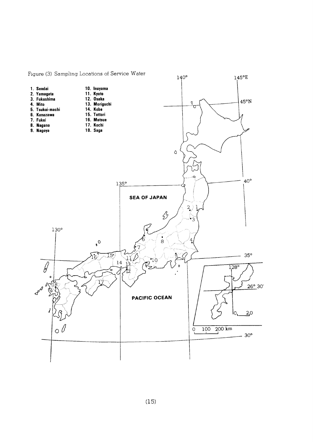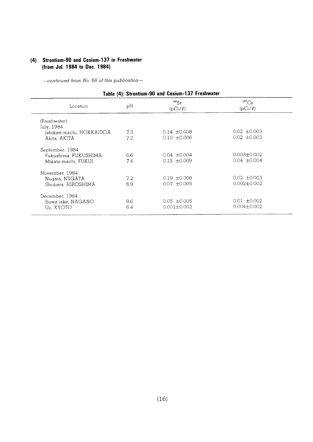#### (4) Strontium-90 and Cesium-137 in Freshwater (from Jul. 1984 to Dec. 1984)

| Table (4): Strontium-90 and Cesium-137 Freshwater |     |                           |                            |  |  |
|---------------------------------------------------|-----|---------------------------|----------------------------|--|--|
| Location                                          | рH  | $^{90}Sr$<br>$(pCi/\ell)$ | $^{137}Cs$<br>$(pCi/\ell)$ |  |  |
| (Freshwater)                                      |     |                           |                            |  |  |
| July, 1984                                        |     |                           |                            |  |  |
| Ishikari-machi, HOKKAIDOA                         | 7.3 | $0.14 \pm 0.008$          | $0.02 \pm 0.003$           |  |  |
| Akita, AKITA                                      | 7.2 | $0.10 \pm 0.006$          | $0.02 \pm 0.003$           |  |  |
| September, 1984                                   |     |                           |                            |  |  |
| Fukushima, FUKUSHIMA                              | 6.6 | $0.04 \pm 0.004$          | $0.003 \pm 0.002$          |  |  |
| Mikata-machi, FUKUI                               | 7.4 | $0.15 \pm 0.009$          | $0.04 \pm 0.004$           |  |  |
| November, 1984                                    |     |                           |                            |  |  |
| Niigata, NIIGATA                                  | 7.2 | $0.19 \pm 0.008$          | $0.02 \pm 0.003$           |  |  |
| Shobara, HIROSHIMA                                | 6.9 | $0.07 + 0.005$            | $0.002 \pm 0.002$          |  |  |
| December, 1984                                    |     |                           |                            |  |  |
| Suwa-lake, NAGANO                                 | 8.6 | $0.05 \pm 0.005$          | $0.01 \pm 0.002$           |  |  |
| Uii, KYOTO                                        | 6.4 | $0.001 \pm 0.002$         | $0.004 \pm 0.002$          |  |  |
|                                                   |     |                           |                            |  |  |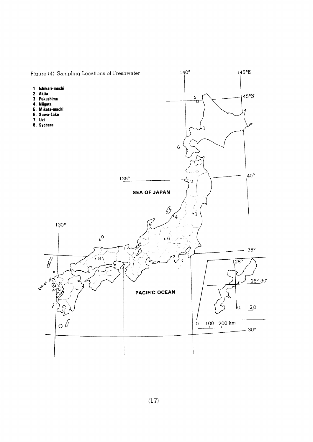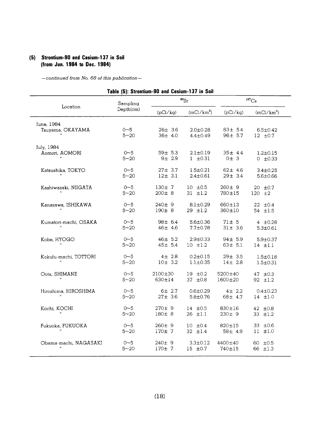#### (5) Strontium-90 and Cesium-137 in Soil (from Jun. 1984 to Dec. 1984)

| Table (5): Strontium-90 and Cesium-137 in Soil |                       |               |                |               |                     |  |
|------------------------------------------------|-----------------------|---------------|----------------|---------------|---------------------|--|
|                                                | Sampling              |               | $^{90}Sr$      |               | $^{137}\mathrm{Cs}$ |  |
| Location                                       | Depth(cm)<br>(pCi/kg) | $(mCi/km^2)$  | (pCi/kg)       | $(mCi/km^2)$  |                     |  |
| June, 1984                                     | $0 - 5$               | $26 \pm 3.6$  | $2.0 \pm 0.28$ | $83 \pm 5.4$  | $6.5 \pm 0.42$      |  |
| Tsuyama, OKAYAMA                               | $5 - 20$              | 36± 4.0       | $4.4 \pm 0.49$ | 96± 5.7       | $12 \pm 0.7$        |  |
| July, 1984                                     | $0 - 5$               | $59\pm 5.3$   | $2.1 \pm 0.19$ | $35 \pm 4.4$  | $1.2 \pm 0.15$      |  |
| Aomori, AOMORI                                 | $5 - 20$              | $9 + 2.9$     | $1 \pm 0.31$   | 0±3           | $0 \pm 0.33$        |  |
| Katsushika, TOKYO                              | $0 - 5$               | $27 \pm 3.7$  | $1.5 \pm 0.21$ | $62 \pm 4.6$  | $3.4 \pm 0.25$      |  |
|                                                | $5 - 20$              | $12 \pm 3.1$  | $2.4 \pm 0.61$ | $29 \pm 3.4$  | $5.6 \pm 0.66$      |  |
| Kashiwazaki, NIIGATA                           | $0 - 5$               | $130 \pm 7$   | $10 \pm 0.5$   | $260 \pm 9$   | $20 \pm 0.7$        |  |
|                                                | $5 - 20$              | $200 \pm 8$   | $31 \pm 1.2$   | 780±15        | $120 \pm 2$         |  |
| Kanazawa, ISHIKAWA                             | $0 - 5$               | 240±9         | $8.1 \pm 0.29$ | 660±13        | 22 $\pm 0.4$        |  |
|                                                | $5 - 20$              | $190 \pm 8$   | $29$ $\pm 1.2$ | 360±10        | 54 $\pm 1.5$        |  |
| Kumatori-machi, OSAKA                          | $0 - 5$               | $98 \pm 6.4$  | $5.6 \pm 0.36$ | $71 \pm 5$    | 4 $\pm 0.28$        |  |
|                                                | $5 - 20$              | $46 \pm 4.6$  | $7.7 \pm 0.78$ | $31 \pm 3.6$  | $5.3 \pm 0.61$      |  |
| Kobe, HYOGO                                    | $0 - 5$               | 46± 5.2       | $2.9 \pm 0.33$ | $94 \pm 5.9$  | $5.9 + 0.37$        |  |
| $\boldsymbol{u}$                               | $5 - 20$              | $45 \pm 5.4$  | $10 \pm 1.2$   | $63 \pm 5.1$  | $14 \pm 1.1$        |  |
| Kokufu-machi, TOTTORI                          | $0 - 5$               | $4\pm 2.8$    | $0.2 \pm 0.15$ | $29 \pm 3.5$  | $1.5 \pm 0.18$      |  |
|                                                | $5 - 20$              | 10± 3.2       | $1.1 \pm 0.35$ | $14 \pm 2.8$  | $1.5 \pm 0.31$      |  |
| Oota, SHIMANE                                  | $0 - 5$               | $2100 \pm 30$ | $19 \pm 0.2$   | 5200±40       | 47 $\pm 0.3$        |  |
|                                                | $5 - 20$              | 630±14        | 37 $\pm 0.8$   | $1600 \pm 20$ | 92 ±1.2             |  |
| Hiroshima, HIROSHIMA                           | $0 - 5$               | $6 \pm 2.7$   | $0.6 \pm 0.29$ | $4 \pm 2.2$   | $0.4 \pm 0.23$      |  |
|                                                | $5 - 20$              | $27 \pm 3.6$  | $5.8 \pm 0.76$ | 68± 4.7       | $14$ $\pm 1.0$      |  |
| Kochi, KOCHI                                   | $0 - 5$               | 270±9         | $14 \pm 0.5$   | 830±16        | 42 ±0.8             |  |
|                                                | $5 - 20$              | 180± 8        | $26$ $\pm 1.1$ | 230±9         | 33 $\pm 1.2$        |  |
| Fukuoka, FUKUOKA                               | $0 - 5$               | $260 \pm 9$   | $10 \pm 0.4$   | $820 \pm 15$  | 33 $\pm 0.6$        |  |
|                                                | $5 - 20$              | 170±7         | 32 $\pm 1.4$   | 58± 4.9       | $11 \pm 1.0$        |  |
| Obama-machi, NAGASAKI                          | $0 - 5$               | 240±9         | $3.3 \pm 0.12$ | 4400±40       | $60 \pm 0.5$        |  |
|                                                | $5 - 20$              | 170±7         | 15 $\pm 0.7$   | 740±15        | 66 ±1.3             |  |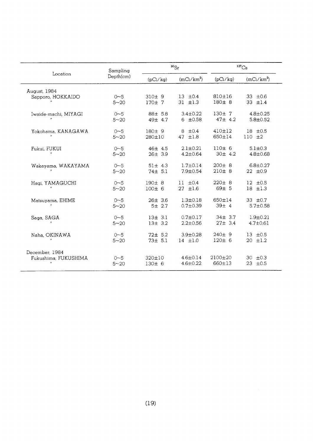|                      | Sampling  |              | $^{90}Sr$      | $^{137}Cs$   |                |
|----------------------|-----------|--------------|----------------|--------------|----------------|
| Location             | Depth(cm) | (pCi/kg)     | $(mCi/km^2)$   | (pCi/kg)     | $(mCi/km^2)$   |
| August, 1984         | $0 - 5$   | 310±9        | $13 \pm 0.4$   | 810±16       | 33 ±0.6        |
| Sapporo, HOKKAIDO    | $5 - 20$  | 170±7        | $31 + 1.3$     | 180±8        | 33 $\pm 1.4$   |
| Iwaide-machi, MIYAGI | $0 - 5$   | 88± 5.8      | $3.4 \pm 0.22$ | 130±7        | $4.8 \pm 0.25$ |
|                      | $5 - 20$  | 49± 4.7      | $6 \pm 0.58$   | $47 \pm 4.2$ | $5.8 \pm 0.52$ |
| Yokohama, KANAGAWA   | $0 - 5$   | $180+9$      | $8 \pm 0.4$    | 410±12       | $18 + 0.5$     |
|                      | $5 - 20$  | 280±10       | 47 $\pm 1.8$   | 650±14       | $110 \pm 2$    |
| Fukui, FUKUI         | $0 - 5$   | 46± 4.5      | $2.1 \pm 0.21$ | 110±6        | $5.1 \pm 0.3$  |
|                      | $5 - 20$  | $26 \pm 3.9$ | $4.2 \pm 0.64$ | 30± 4.2      | $4.8 \pm 0.68$ |
| Wakayama, WAKAYAMA   | $0 - 5$   | $51 \pm 4.3$ | $1.7 \pm 0.14$ | $200 \pm 8$  | $6.8 \pm 0.27$ |
|                      | $5 - 20$  | 74± 5.1      | $7.9 \pm 0.54$ | 210±8        | $22 \pm 0.9$   |
| Hagi, YAMAGUCHI      | $0 - 5$   | 190±8        | $11 + 0.4$     | $220 \pm 8$  | $12 + 0.5$     |
|                      | $5 - 20$  | 100±6        | $27$ $\pm 1.6$ | $69 \pm 5$   | $18$ $\pm 1.3$ |
| Matsuyama, EHIME     | $0 - 5$   | $26 \pm 3.6$ | $1.3 \pm 0.18$ | $650 \pm 14$ | 33 $\pm 0.7$   |
|                      | $5 - 20$  | $5 + 2.7$    | $0.7 \pm 0.39$ | 39±4         | $5.7 \pm 0.58$ |
| Saga, SAGA           | $0 - 5$   | 13± 3.1      | $0.7 \pm 0.17$ | $34 \pm 3.7$ | $1.9 + 0.21$   |
|                      | $5 - 20$  | $13 \pm 3.2$ | $2.2 \pm 0.56$ | $27 \pm 3.4$ | $4.7 \pm 0.61$ |
| Naha, OKINAWA        | $0 - 5$   | $72 \pm 5.2$ | $3.9 \pm 0.28$ | 240±9        | $13 + 0.5$     |
|                      | $5 - 20$  | $73 \pm 5.1$ | $14$ $\pm 1.0$ | 120±6        | $20 + 1.2$     |
| December, 1984       | $0 - 5$   | $320 \pm 10$ | $4.6 \pm 0.14$ | $2100+20$    | $30 + 0.3$     |
| Fukushima, FUKUSHIMA | $5 - 20$  | 130±6        | $4.6 \pm 0.22$ | 660±13       | $23 + 0.5$     |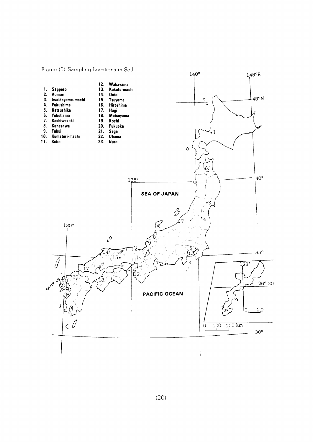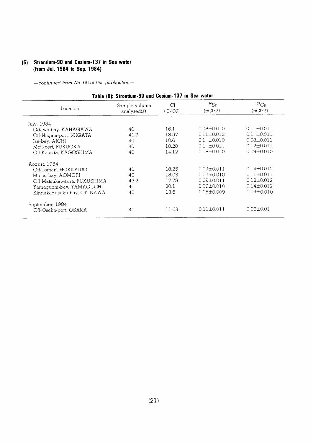## (6) Strontium-90 and Cesium-137 in Sea water (from Jul. 1984 to Sep. 1984)

| Table (6): Strontium-90 and Cesium-137 in Sea water |                                    |              |                           |                              |  |
|-----------------------------------------------------|------------------------------------|--------------|---------------------------|------------------------------|--|
| Location                                            | Sample volume<br>analyzed $(\ell)$ | Cl<br>(0/00) | $^{90}Sr$<br>$(pCi/\ell)$ | ${}^{137}Cs$<br>$(pCi/\ell)$ |  |
| July, 1984                                          |                                    |              |                           |                              |  |
| Odawa-bay, KANAGAWA                                 | 40                                 | 16.1         | $0.08 \pm 0.010$          | $0.1 \pm 0.011$              |  |
| Off-Niigata-port, NIIGATA                           | 41.7                               | 18.57        | $0.11 \pm 0.012$          | $0.1 \pm 0.011$              |  |
| Ise-bay, AICHI                                      | 40                                 | 10.6         | $0.1 \pm 0.010$           | $0.08 + 0.011$               |  |
| Moii-port, FUKUOKA                                  | 40                                 | 18.28        | $0.1 \pm 0.011$           | $0.12 \pm 0.011$             |  |
| Off-Kaseda, KAGOSHIMA                               | 40                                 | 14.12        | $0.08 \pm 0.010$          | $0.09 \pm 0.010$             |  |
| Aogust, 1984                                        |                                    |              |                           |                              |  |
| Off-Tomari, HOKKAIDO                                | 40                                 | 18.25        | $0.09 \pm 0.011$          | $0.14 \pm 0.012$             |  |
| Mutsu-bay, AOMORI                                   | 40                                 | 18.03        | $0.07 \pm 0.010$          | $0.11 \pm 0.011$             |  |
| Off-Matsukawaura, FUKUSHIMA                         | 43.2                               | 17.78        | $0.09 \pm 0.011$          | $0.12 \pm 0.012$             |  |
| Yamaguchi-bay, YAMAGUCHI                            | 40                                 | 20.1         | $0.09 \pm 0.010$          | $0.14 \pm 0.012$             |  |
| Kinnakagusuku-bay, OKINAWA                          | 40                                 | 13.6         | $0.08 \pm 0.009$          | $0.09 \pm 0.010$             |  |
| September, 1984                                     |                                    |              |                           |                              |  |
| Off-Osaka-port, OSAKA                               | 40                                 | 11.63        | $0.11 \pm 0.011$          | $0.08 \pm 0.01$              |  |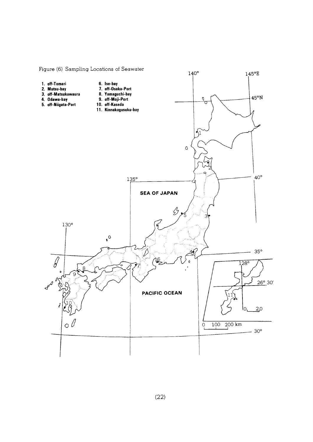

#### Figure (6) Sampling Locations of Seawater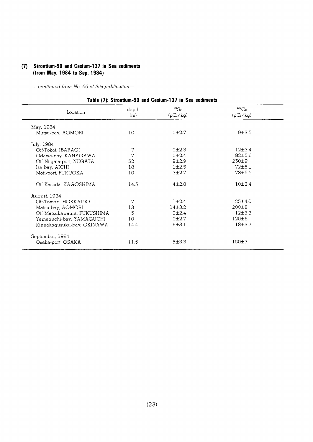#### (7) Strontium-90 and Cesium-137 in Sea sediments (from May. 1984 to Sep. 1984)

 $-$ continued from No. 66 of this publication $-$ 

|                             |                | Table <i>(1)</i> . Ottomaant-oo aha Gestam-To7 in oea scannents |                                 |
|-----------------------------|----------------|-----------------------------------------------------------------|---------------------------------|
| Location                    | depth<br>(m)   | $^{90}Sr$<br>(pCi/kg)                                           | $^{137}\mathrm{Cs}$<br>(pCi/kg) |
| May, 1984                   |                |                                                                 |                                 |
| Mutsu-bay, AOMORI           | 10             | 0 <sub>12.7</sub>                                               | 9±3.5                           |
| July, 1984                  |                |                                                                 |                                 |
| Off-Tokai, IBARAGI          | $\overline{7}$ | $0+2.3$                                                         | $12+3.4$                        |
| Odawa-bay, KANAGAWA         | 7              | 0 <sub>12.4</sub>                                               | 82±5.6                          |
| Off-Niigata-port, NIIGATA   | 52             | $9 + 2.9$                                                       | $250 + 9$                       |
| Ise-bay, AICHI              | 18             | $1 + 2.5$                                                       | 72±5.1                          |
| Moji-port, FUKUOKA          | 10             | 3 <sub>12.7</sub>                                               | 78±5.5                          |
| Off-Kaseda, KAGOSHIMA       | 14.5           | $4 + 2.8$                                                       | 10±3.4                          |
| August, 1984                |                |                                                                 |                                 |
| Off-Tomari, HOKKAIDO        | 7              | $1 \pm 2.4$                                                     | 25±4.0                          |
| Matsu-bay, AOMORI           | 13             | 14 <sub>±</sub> 3.2                                             | $200 \pm 8$                     |
| Off-Matsukawaura, FUKUSHIMA | 5              | 0 <sub>12.4</sub>                                               | 12±3.3                          |
| Yamaguchi-bay, YAMAGUCHI    | 10             | 0 <sub>12.7</sub>                                               | $120 \pm 6$                     |
| Kinnakagusuku-bay, OKINAWA  | 14.4           | 6±3.1                                                           | $18 + 3.7$                      |
| September, 1984             |                |                                                                 |                                 |
| Osaka-port, OSAKA           | 11.5           | 5±3.3                                                           | $150 \pm 7$                     |
|                             |                |                                                                 |                                 |

#### Table (7): Strontium-90 and Cesium-137 in Sea sediments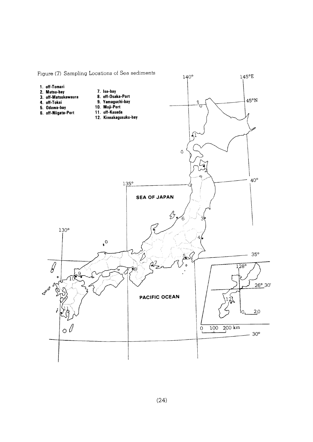